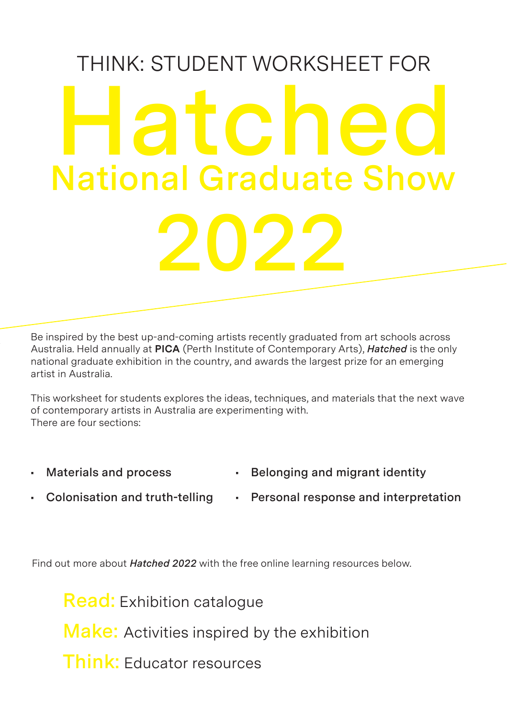# THINK: STUDENT WORKSHEET FOR **2022 Hatched National Graduate Show**

Be inspired by the best up-and-coming artists recently graduated from art schools across Australia. Held annually at **PICA** (Perth Institute of Contemporary Arts), *Hatched* is the only national graduate exhibition in the country, and awards the largest prize for an emerging artist in Australia.

This worksheet for students explores the ideas, techniques, and materials that the next wave of contemporary artists in Australia are experimenting with. There are four sections:

- **• Materials and process**
- **• Belonging and migrant identity**
- **• Colonisation and truth-telling**
- **• Personal response and interpretation**

Find out more about *Hatched 2022* with the free online learning resources below.

**Read:** Exhibition catalogue **Make:** Activities inspired by the exhibition **Think:** Educator resources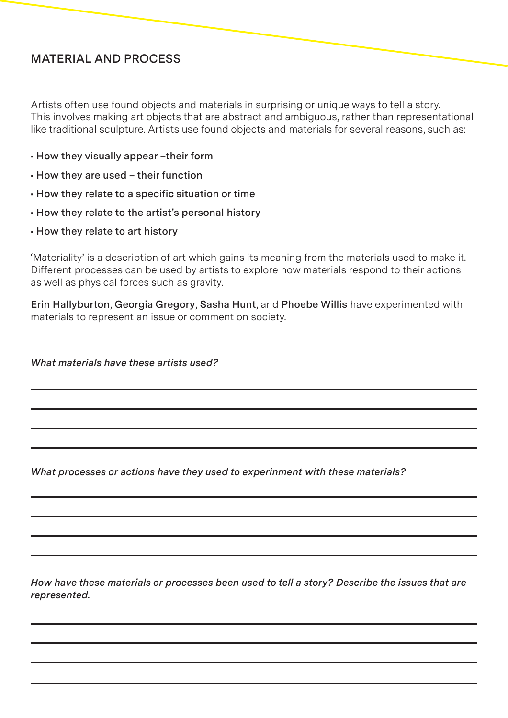## **MATERIAL AND PROCESS**

Artists often use found objects and materials in surprising or unique ways to tell a story. This involves making art objects that are abstract and ambiguous, rather than representational like traditional sculpture. Artists use found objects and materials for several reasons, such as:

- **How they visually appear –their form**
- **How they are used their function**
- **How they relate to a specific situation or time**
- **How they relate to the artist's personal history**
- **How they relate to art history**

'Materiality' is a description of art which gains its meaning from the materials used to make it. Different processes can be used by artists to explore how materials respond to their actions as well as physical forces such as gravity.

**Erin Hallyburton**, **Georgia Gregory**, **Sasha Hunt**, and **Phoebe Willis** have experimented with materials to represent an issue or comment on society.

*What materials have these artists used?* 

*What processes or actions have they used to experinment with these materials?* 

*How have these materials or processes been used to tell a story? Describe the issues that are represented.*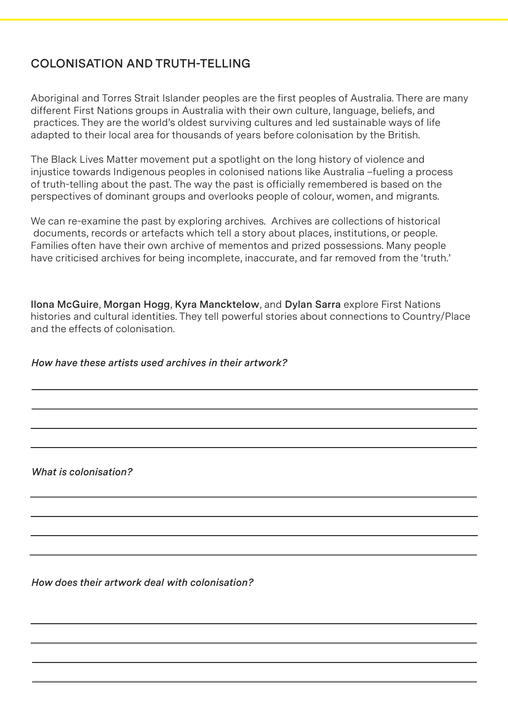# **COLONISATION AND TRUTH-TELLING**

Aboriginal and Torres Strait Islander peoples are the first peoples of Australia. There are many different First Nations groups in Australia with their own culture, language, beliefs, and practices. They are the world's oldest surviving cultures and led sustainable ways of life adapted to their local area for thousands of years before colonisation by the British.

The Black Lives Matter movement put a spotlight on the long history of violence and injustice towards Indigenous peoples in colonised nations like Australia –fueling a process of truth-telling about the past. The way the past is officially remembered is based on the perspectives of dominant groups and overlooks people of colour, women, and migrants.

We can re-examine the past by exploring archives. Archives are collections of historical documents, records or artefacts which tell a story about places, institutions, or people. Families often have their own archive of mementos and prized possessions. Many people have criticised archives for being incomplete, inaccurate, and far removed from the 'truth.'

**Ilona McGuire**, **Morgan Hogg**, **Kyra Mancktelow**, and **Dylan Sarra** explore First Nations histories and cultural identities. They tell powerful stories about connections to Country/Place and the effects of colonisation.

### *How have these artists used archives in their artwork?*

*What is colonisation?* 

*How does their artwork deal with colonisation?*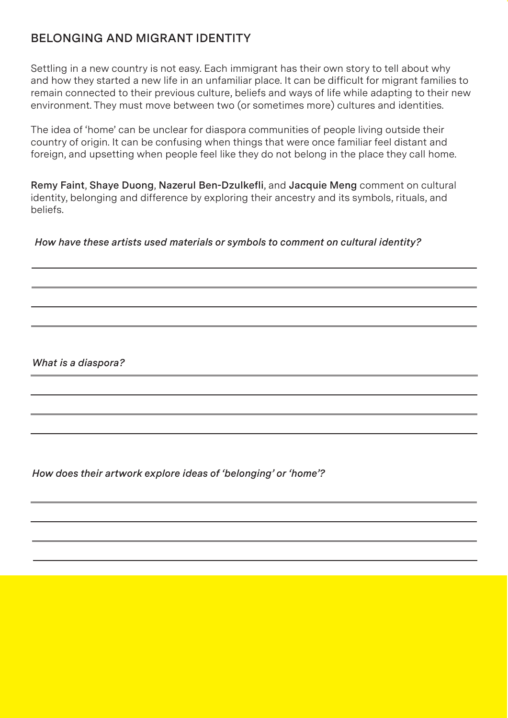# **BELONGING AND MIGRANT IDENTITY**

Settling in a new country is not easy. Each immigrant has their own story to tell about why and how they started a new life in an unfamiliar place. It can be difficult for migrant families to remain connected to their previous culture, beliefs and ways of life while adapting to their new environment. They must move between two (or sometimes more) cultures and identities.

The idea of 'home' can be unclear for diaspora communities of people living outside their country of origin. It can be confusing when things that were once familiar feel distant and foreign, and upsetting when people feel like they do not belong in the place they call home.

**Remy Faint**, **Shaye Duong**, **Nazerul Ben-Dzulkefli**, and **Jacquie Meng** comment on cultural identity, belonging and difference by exploring their ancestry and its symbols, rituals, and beliefs.

 *How have these artists used materials or symbols to comment on cultural identity?* 

*What is a diaspora?* 

*How does their artwork explore ideas of 'belonging' or 'home'?*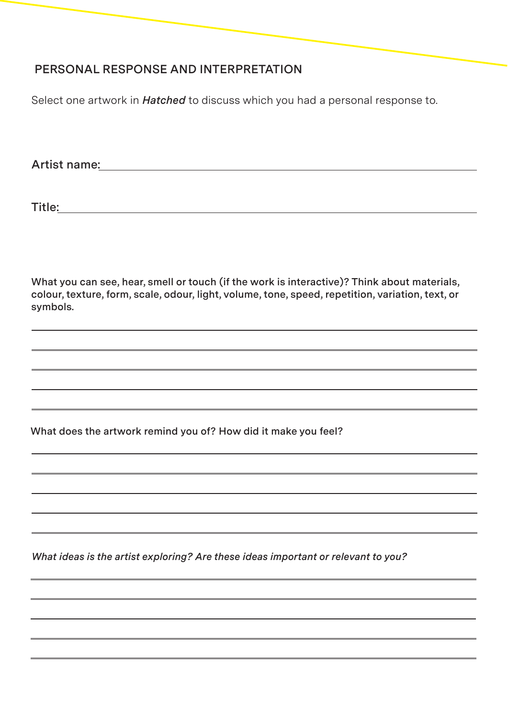# **PERSONAL RESPONSE AND INTERPRETATION**

Select one artwork in *Hatched* to discuss which you had a personal response to.

**Artist name:** 

**Title:** 

**What you can see, hear, smell or touch (if the work is interactive)? Think about materials, colour, texture, form, scale, odour, light, volume, tone, speed, repetition, variation, text, or symbols.** 

**What does the artwork remind you of? How did it make you feel?**

*What ideas is the artist exploring? Are these ideas important or relevant to you?*